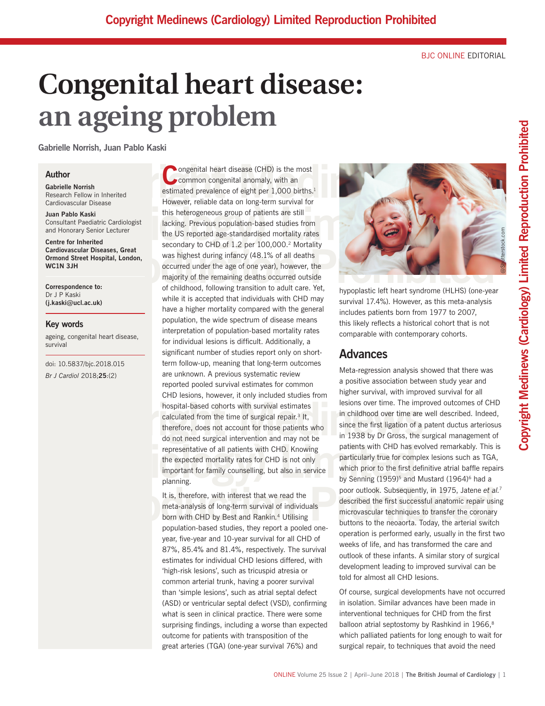BJC ONLINE EDITORIAL

# **Congenital heart disease: an ageing problem**

**Gabrielle Norrish, Juan Pablo Kaski**

# **Author**

**Gabrielle Norrish** Research Fellow in Inherited Cardiovascular Disease

**Juan Pablo Kaski** Consultant Paediatric Cardiologist and Honorary Senior Lecturer

**Centre for Inherited Cardiovascular Diseases, Great Ormond Street Hospital, London, WC1N 3JH**

**Correspondence to:** Dr J P Kaski **(j.kaski@ucl.ac.uk)**

# **Key words**

ageing, congenital heart disease, survival

doi: 10.5837/bjc.2018.015 *Br J Cardiol* 2018;**25**:(2)

**Community** on the metric of eight per 1,000 births.<sup>1</sup><br>
The metric of eight per 1,000 births.<sup>1</sup><br>
The metric of eight per 1,000 births.<sup>1</sup><br>
The metric of eight per 1,000 births.<sup>1</sup><br>
However, reliable data on long-term sur France Controllery (Figure 2014)<br>
In Pablo Kaski<br>
Insultant Paediatric Cardiologist<br>
Insultant Paediatric Cardiologist<br>
Insultant Paediatric Cardiologist<br>
Insultant Paediatric Cardiologist<br>
Insultant Paediatric Cardiologis rdiovascular Diseases, Great<br>
mond Street Hospital, London,<br>
mond Street Hospital, London,<br>
was highest during infancy (48.1% of all deaths<br>
occurred under the age of one year), however, the<br>
majority of the remaining deat hospital-based cohorts with survival estimates<br>calculated from the time of surgical repair.<sup>3</sup> It,<br>therefore, does not account for those patients who<br>do not need surgical intervention and may not be<br>in 1938 by Dr Gross, th **Example 1959)**<sup>5</sup> representative of all patients with CHD. Knowing patients with CHD has evolve the expected mortality rates for CHD is not only important for family counselling, but also in service which prior to the fir **C**ongenital heart disease (CHD) is the most common congenital anomaly, with an estimated prevalence of eight per 1,000 births.<sup>1</sup> However, reliable data on long-term survival for this heterogeneous group of patients are still lacking. Previous population-based studies from the US reported age-standardised mortality rates secondary to CHD of 1.2 per 100,000.<sup>2</sup> Mortality was highest during infancy (48.1% of all deaths occurred under the age of one year), however, the majority of the remaining deaths occurred outside of childhood, following transition to adult care. Yet, while it is accepted that individuals with CHD may have a higher mortality compared with the general population, the wide spectrum of disease means interpretation of population-based mortality rates for individual lesions is difficult. Additionally, a significant number of studies report only on shortterm follow-up, meaning that long-term outcomes are unknown. A previous systematic review reported pooled survival estimates for common CHD lesions, however, it only included studies from hospital-based cohorts with survival estimates calculated from the time of surgical repair.3 It, therefore, does not account for those patients who do not need surgical intervention and may not be representative of all patients with CHD. Knowing the expected mortality rates for CHD is not only important for family counselling, but also in service planning.

> It is, therefore, with interest that we read the meta-analysis of long-term survival of individuals born with CHD by Best and Rankin*.* <sup>4</sup> Utilising population-based studies, they report a pooled oneyear, five-year and 10-year survival for all CHD of 87%, 85.4% and 81.4%, respectively. The survival estimates for individual CHD lesions differed, with 'high-risk lesions', such as tricuspid atresia or common arterial trunk, having a poorer survival than 'simple lesions', such as atrial septal defect (ASD) or ventricular septal defect (VSD), confirming what is seen in clinical practice. There were some surprising findings, including a worse than expected outcome for patients with transposition of the great arteries (TGA) (one-year survival 76%) and



hypoplastic left heart syndrome (HLHS) (one-year survival 17.4%). However, as this meta-analysis includes patients born from 1977 to 2007, this likely reflects a historical cohort that is not comparable with contemporary cohorts.

# **Advances**

Framma, the interest that we read the<br>
It is, therefore, with interest that we read the<br>
meta-analysis of long-term survival of individuals<br>
born with CHD by Best and Rankin.<sup>4</sup> Utilising<br>
population-based studies, they re Meta-regression analysis showed that there was a positive association between study year and higher survival, with improved survival for all lesions over time. The improved outcomes of CHD in childhood over time are well described. Indeed, since the first ligation of a patent ductus arteriosus in 1938 by Dr Gross, the surgical management of patients with CHD has evolved remarkably. This is particularly true for complex lesions such as TGA, which prior to the first definitive atrial baffle repairs by Senning  $(1959)^5$  and Mustard  $(1964)^6$  had a poor outlook. Subsequently, in 1975, Jatene *et al.*<sup>7</sup> described the first successful anatomic repair using microvascular techniques to transfer the coronary buttons to the neoaorta. Today, the arterial switch operation is performed early, usually in the first two weeks of life, and has transformed the care and outlook of these infants. A similar story of surgical development leading to improved survival can be told for almost all CHD lesions.

> Of course, surgical developments have not occurred in isolation. Similar advances have been made in interventional techniques for CHD from the first balloon atrial septostomy by Rashkind in 1966,<sup>8</sup> which palliated patients for long enough to wait for surgical repair, to techniques that avoid the need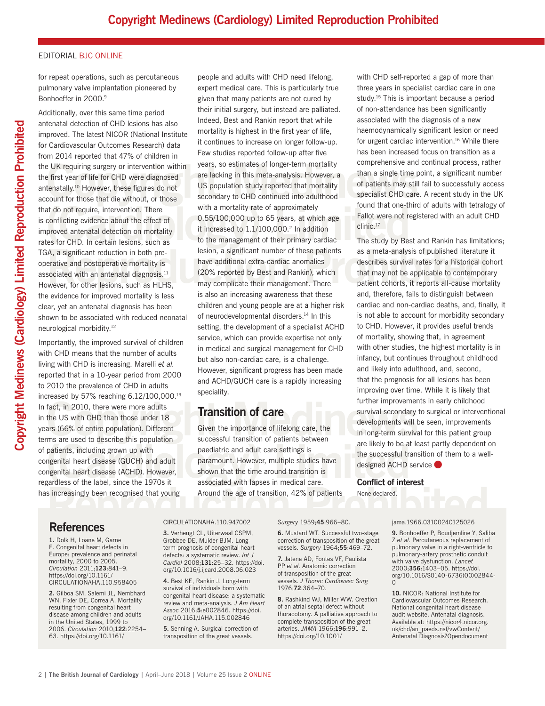# EDITORIAL BJC ONLINE

for repeat operations, such as percutaneous pulmonary valve implantation pioneered by Bonhoeffer in 2000.<sup>9</sup>

Additionally, over this same time period antenatal detection of CHD lesions has also improved. The latest NICOR (National Institute for Cardiovascular Outcomes Research) data from 2014 reported that 47% of children in the UK requiring surgery or intervention within the first year of life for CHD were diagnosed antenatally.10 However, these figures do not account for those that die without, or those that do not require, intervention. There is conflicting evidence about the effect of improved antenatal detection on mortality rates for CHD. In certain lesions, such as TGA, a significant reduction in both preoperative and postoperative mortality is associated with an antenatal diagnosis.<sup>11</sup> However, for other lesions, such as HLHS, the evidence for improved mortality is less clear, yet an antenatal diagnosis has been shown to be associated with reduced neonatal neurological morbidity.12

Fract, in 2010, there were more adults<br>the US with CHD than those under 18<br>ars (66% of entire population). Different Given the importance of lifelong care, the<br>ms are used to describe this population<br>time successful transi Importantly, the improved survival of children with CHD means that the number of adults living with CHD is increasing. Marelli *et al.* reported that in a 10-year period from 2000 to 2010 the prevalence of CHD in adults increased by 57% reaching 6.12/100,000.13 In fact, in 2010, there were more adults in the US with CHD than those under 18 years (66% of entire population). Different terms are used to describe this population of patients, including grown up with congenital heart disease (GUCH) and adult congenital heart disease (ACHD). However, regardless of the label, since the 1970s it has increasingly been recognised that young

EXE requiring surgery or intervention within years, so estimates of longer-term mortality<br>
Exercise tirst year of life for CHD were diagnosed are lacking in this meta-analysis. However, a than a single time point<br>
tenatall at do not require, intervention. There with a mortality rate of approximately<br>
conflicting evidence about the effect of 0.55/100,000 up to 65 years, at which age Fallot were not regist<br>
proved antenatal detection on mortal A, a significant reduction in both pre-<br>
erative and postoperative mortality is<br>
sociated with an antenatal diagnosis.<sup>11</sup> (20% reported by Best and Rankin), which<br>
wever, for other lesions, such as HLHS, may complicate th people and adults with CHD need lifelong, expert medical care. This is particularly true given that many patients are not cured by their initial surgery, but instead are palliated. Indeed, Best and Rankin report that while mortality is highest in the first year of life, it continues to increase on longer follow-up. Few studies reported follow-up after five years, so estimates of longer-term mortality are lacking in this meta-analysis. However, a US population study reported that mortality secondary to CHD continued into adulthood with a mortality rate of approximately 0.55/100,000 up to 65 years, at which age it increased to 1.1/100,000.<sup>2</sup> In addition to the management of their primary cardiac lesion, a significant number of these patients have additional extra-cardiac anomalies (20% reported by Best and Rankin), which may complicate their management. There is also an increasing awareness that these children and young people are at a higher risk of neurodevelopmental disorders.<sup>14</sup> In this setting, the development of a specialist ACHD service, which can provide expertise not only in medical and surgical management for CHD but also non-cardiac care, is a challenge. However, significant progress has been made and ACHD/GUCH care is a rapidly increasing speciality.

# **Transition of care**

are likely to be at learness of the label, sincluding grown up with<br>
magnital heart disease (GUCH) and adult<br>
magnital heart disease (ACHD). However, and a specifical disease (ACHD). However, and the successful transition<br> Sincreasingly been recognised that young Around the age of transition, 42% of patients None declared.<br>
References CIRCULATIONAHA.110.947002 Surgery 1959;45:966–80. jama.1966.03100240125026 Given the importance of lifelong care, the successful transition of patients between paediatric and adult care settings is paramount. However, multiple studies have shown that the time around transition is associated with lapses in medical care. Around the age of transition, 42% of patients

with CHD self-reported a gap of more than three years in specialist cardiac care in one study.15 This is important because a period of non-attendance has been significantly associated with the diagnosis of a new haemodynamically significant lesion or need for urgent cardiac intervention.16 While there has been increased focus on transition as a comprehensive and continual process, rather than a single time point, a significant number of patients may still fail to successfully access specialist CHD care. A recent study in the UK found that one-third of adults with tetralogy of Fallot were not registered with an adult CHD clinic.17

The study by Best and Rankin has limitations; as a meta-analysis of published literature it describes survival rates for a historical cohort that may not be applicable to contemporary patient cohorts, it reports all-cause mortality and, therefore, fails to distinguish between cardiac and non-cardiac deaths, and, finally, it is not able to account for morbidity secondary to CHD. However, it provides useful trends of mortality, showing that, in agreement with other studies, the highest mortality is in infancy, but continues throughout childhood and likely into adulthood, and, second, that the prognosis for all lesions has been improving over time. While it is likely that further improvements in early childhood survival secondary to surgical or interventional developments will be seen, improvements in long-term survival for this patient group are likely to be at least partly dependent on the successful transition of them to a welldesigned ACHD service

# **Conflict of interest**

None declared.

# **References**

**1.** Dolk H, Loane M, Garne E. Congenital heart defects in Europe: prevalence and perinatal mortality, 2000 to 2005. *Circulation* 2011;**123**:841–9. https://doi.org/10.1161/ CIRCULATIONAHA.110.958405

**2.** Gilboa SM, Salemi JL, Nembhard WN, Fixler DE, Correa A. Mortality resulting from congenital heart disease among children and adults in the United States, 1999 to 2006. *Circulation* 2010;**122**:2254– 63. https://doi.org/10.1161/

### CIRCULATIONAHA.110.947002

**3.** Verheugt CL, Uiterwaal CSPM, Grobbee DE, Mulder BJM. Longterm prognosis of congenital heart defects: a systematic review. *Int J Cardiol* 2008;**131**:25–32. https://doi. org/10.1016/j.ijcard.2008.06.023

**4.** Best KE, Rankin J. Long-term survival of individuals born with congenital heart disease: a systematic review and meta-analysis. *J Am Heart Assoc* 2016;**5**:e002846. https://doi. org/10.1161/JAHA.115.002846

**5.** Senning A. Surgical correction of transposition of the great vessels.

*Surgery* 1959;**45**:966–80.

**6.** Mustard WT. Successful two-stage correction of transposition of the great vessels. *Surgery* 1964;**55**:469–72.

**7.** Jatene AD, Fontes VF, Paulista PP *et al*. Anatomic correction of transposition of the great vessels. *J Thorac Cardiovasc Surg* 1976;**72**:364–70.

**8.** Rashkind WJ, Miller WW. Creation of an atrial septal defect without thoracotomy. A palliative approach to complete transposition of the great arteries. *JAMA* 1966;**196**:991–2. https://doi.org/10.1001/

#### jama.1966.03100240125026

**9.** Bonhoeffer P, Boudjemline Y, Saliba Z *et al*. Percutaneous replacement of pulmonary valve in a right-ventricle to pulmonary-artery prosthetic conduit with valve dysfunction. *Lancet* 2000;**356**:1403–05. https://doi. org/10.1016/S0140-6736(00)02844-  $\Omega$ 

**10.** NICOR: National Institute for Cardiovascular Outcomes Research. National congenital heart disease audit website. Antenatal diagnosis. Available at: https://nicor4.nicor.org. uk/chd/an\_paeds.nsf/vwContent/ Antenatal Diagnosis?Opendocument